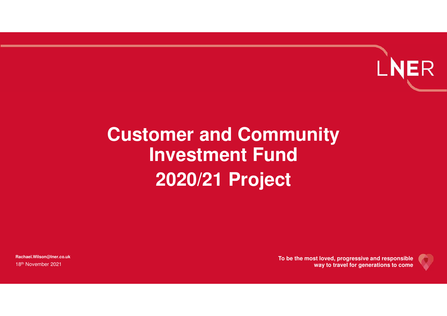

# **Customer and Community Investment Fund2020/21 Project**

**Rachael.Wilson@lner.co.uk**18th November 2021

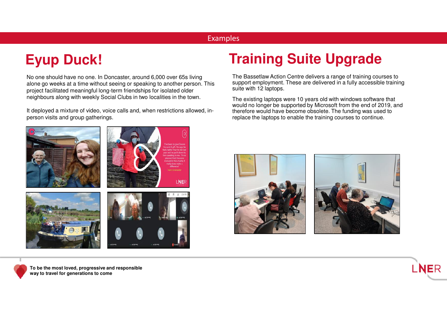### **Eyup Duck!**

No one should have no one. In Doncaster, around 6,000 over 65s living alone go weeks at a time without seeing or speaking to another person. This project facilitated meaningful long-term friendships for isolated older neighbours along with weekly Social Clubs in two localities in the town.

It deployed a mixture of video, voice calls and, when restrictions allowed, inperson visits and group gatherings.



### **Training Suite Upgrade**

The Bassetlaw Action Centre delivers a range of training courses to support employment. These are delivered in a fully accessible training suite with 12 laptops.

The existing laptops were 10 years old with windows software that would no longer be supported by Microsoft from the end of 2019, and therefore would have become obsolete. The funding was used to replace the laptops to enable the training courses to continue.







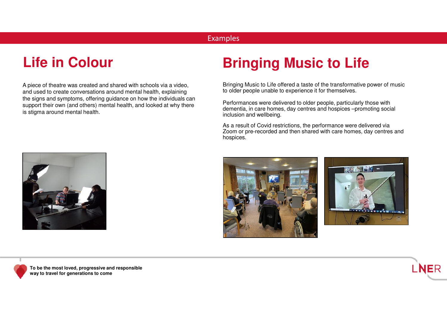### **Life in Colour**

A piece of theatre was created and shared with schools via a video, and used to create conversations around mental health, explaining the signs and symptoms, offering guidance on how the individuals can support their own (and others) mental health, and looked at why there is stigma around mental health.

#### **Bringing Music to Life**

Bringing Music to Life offered a taste of the transformative power of music to older people unable to experience it for themselves.

Performances were delivered to older people, particularly those with dementia, in care homes, day centres and hospices –promoting social inclusion and wellbeing.

As a result of Covid restrictions, the performance were delivered via Zoom or pre-recorded and then shared with care homes, day centres and hospices.









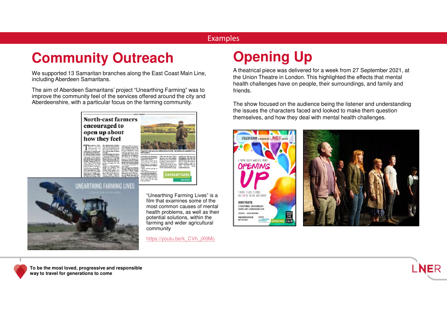### **Community Outreach**

We supported 13 Samaritan branches along the East Coast Main Line, including Aberdeen Samaritans.

The aim of Aberdeen Samaritans' project "Unearthing Farming" was to improve the community feel of the services offered around the city and Aberdeenshire, with a particular focus on the farming community.





"Unearthing Farming Lives" is a film that examines some of the most common causes of mental health problems, as well as their potential solutions, within the farming and wider agricultural community

https://youtu.be/k\_CVh\_jX6Mc

### **Opening Up**

A theatrical piece was delivered for a week from 27 September 2021, at the Union Theatre in London. This highlighted the effects that mental health challenges have on people, their surroundings, and family and friends.

The show focused on the audience being the listener and understanding the issues the characters faced and looked to make them question themselves, and how they deal with mental health challenges.







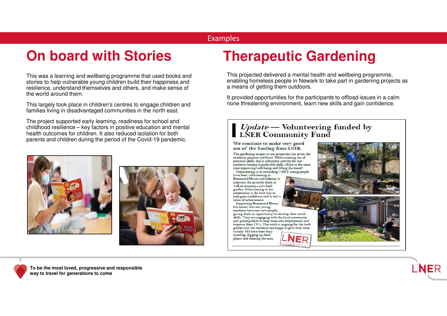#### **On board with Stories**

This was a learning and wellbeing programme that used books and stories to help vulnerable young children build their happiness and resilience, understand themselves and others, and make sense of the world around them.

This largely took place in children's centres to engage children and families living in disadvantaged communities in the north east.

The project supported early learning, readiness for school and childhood resilience – key factors in positive education and mental health outcomes for children. It also reduced isolation for both parents and children during the period of the Covid-19 pandemic.



**To be the most loved, progressive and responsible** 

**way to travel for generations to come**



#### **Therapeutic Gardening**

This projected delivered a mental health and wellbeing programme, enabling homeless people in Newark to take part in gardening projects as a means of getting them outdoors.

It provided opportunities for the participants to offload issues in a calm none threatening environment, learn new skills and gain confidence.

### Update — Volunteering funded by<br>LNER Community Fund

We continue to make very good use of the funding from LNER.

The gardening project at our properties has given the<br>residents purpose and focus. Whilst making use of practical skills, this is a fantastic activity for our residents honing transferable skills whilst at the same time improving well-being and lifting the mood! Volunteering is so rewarding - NET young people

have been volunteering at Beaumond House and helping to maintain the grounds there as well as creating a new herb garden. Volunteering in the community is the best way to help gain confidence and to feel a sense of achievement. Supporting Beaumond House

has meant that our young residents have met new people

giving them an opportunity to develop their social skills. They are engaging with the local community<br>and gaining skills to help them into employment and improve their CV's. The work is ongoing for the herb garden and the residents are happy to give their time to help. We have been busy

weeding, digging up dead plants and clearing the area. ЕR





IER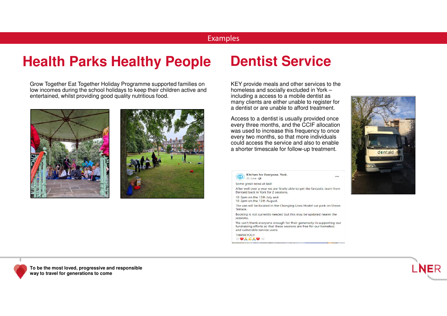#### **Health Parks Healthy People**

Grow Together Eat Together Holiday Programme supported families on low incomes during the school holidays to keep their children active and entertained, whilst providing good quality nutritious food.





#### **Dentist Service**

KEY provide meals and other services to the homeless and socially excluded in York – including a access to a mobile dentist as many clients are either unable to register for a dentist or are unable to afford treatment.

Access to a dentist is usually provided once every three months, and the CCIF allocation was used to increase this frequency to once every two months, so that more individuals could access the service and also to enable a shorter timescale for follow-up treatment.



IER

Some great news at last!

 $\overline{\mathbf{Q}}$  23 June  $\cdot \mathbf{\odot}$ 

Kitchen for Everyone. York.

After well over a year we are finally able to get the fantastic team from Dentaid back in York for 2 sessions.

 $\cdots$ 

10-3pm on the 13th July and

10-3pm on the 13th August.

The van will be located in the Changing Lives Hostel car park on Union Terrace.

Booking is not currently needed but this may be updated nearer the sessions.

We can't thank everyone enough for their generosity in supporting our fundraising efforts so that these sessions are free for our homeless and vulnerable service users.

**THANKYOU!!** WUACAW W

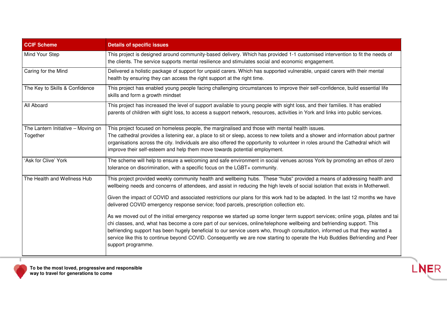| <b>CCIF Scheme</b>                             | <b>Details of specific issues</b>                                                                                                                                                                                                                                                                                                                                                                                                                                                                                                                                                                                                                                                                                                                                                                                                                                                                                                                                                                                                             |
|------------------------------------------------|-----------------------------------------------------------------------------------------------------------------------------------------------------------------------------------------------------------------------------------------------------------------------------------------------------------------------------------------------------------------------------------------------------------------------------------------------------------------------------------------------------------------------------------------------------------------------------------------------------------------------------------------------------------------------------------------------------------------------------------------------------------------------------------------------------------------------------------------------------------------------------------------------------------------------------------------------------------------------------------------------------------------------------------------------|
| Mind Your Step                                 | This project is designed around community-based delivery. Which has provided 1-1 customised intervention to fit the needs of<br>the clients. The service supports mental resilience and stimulates social and economic engagement.                                                                                                                                                                                                                                                                                                                                                                                                                                                                                                                                                                                                                                                                                                                                                                                                            |
| Caring for the Mind                            | Delivered a holistic package of support for unpaid carers. Which has supported vulnerable, unpaid carers with their mental<br>health by ensuring they can access the right support at the right time.                                                                                                                                                                                                                                                                                                                                                                                                                                                                                                                                                                                                                                                                                                                                                                                                                                         |
| The Key to Skills & Confidence                 | This project has enabled young people facing challenging circumstances to improve their self-confidence, build essential life<br>skills and form a growth mindset                                                                                                                                                                                                                                                                                                                                                                                                                                                                                                                                                                                                                                                                                                                                                                                                                                                                             |
| All Aboard                                     | This project has increased the level of support available to young people with sight loss, and their families. It has enabled<br>parents of children with sight loss, to access a support network, resources, activities in York and links into public services.                                                                                                                                                                                                                                                                                                                                                                                                                                                                                                                                                                                                                                                                                                                                                                              |
| The Lantern Initiative - Moving on<br>Together | This project focused on homeless people, the marginalised and those with mental health issues.<br>The cathedral provides a listening ear, a place to sit or sleep, access to new toilets and a shower and information about partner<br>organisations across the city. Individuals are also offered the opportunity to volunteer in roles around the Cathedral which will<br>improve their self-esteem and help them move towards potential employment.                                                                                                                                                                                                                                                                                                                                                                                                                                                                                                                                                                                        |
| 'Ask for Clive' York                           | The scheme will help to ensure a welcoming and safe environment in social venues across York by promoting an ethos of zero<br>tolerance on discrimination, with a specific focus on the LGBT+ community.                                                                                                                                                                                                                                                                                                                                                                                                                                                                                                                                                                                                                                                                                                                                                                                                                                      |
| The Health and Wellness Hub                    | This project provided weekly community health and wellbeing hubs. These "hubs" provided a means of addressing health and<br>wellbeing needs and concerns of attendees, and assist in reducing the high levels of social isolation that exists in Motherwell.<br>Given the impact of COVID and associated restrictions our plans for this work had to be adapted. In the last 12 months we have<br>delivered COVID emergency response service; food parcels, prescription collection etc.<br>As we moved out of the initial emergency response we started up some longer term support services; online yoga, pilates and tai<br>chi classes, and, what has become a core part of our services, online/telephone wellbeing and befriending support. This<br>befriending support has been hugely beneficial to our service users who, through consultation, informed us that they wanted a<br>service like this to continue beyond COVID. Consequently we are now starting to operate the Hub Buddies Befriending and Peer<br>support programme. |

LNER

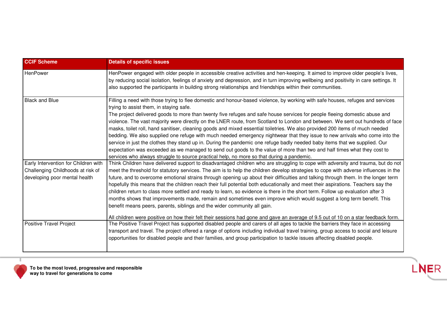| <b>CCIF Scheme</b>                                                 | <b>Details of specific issues</b>                                                                                                                                                                                                                                                                                                                                                                                                                                                                                                                                                                                                                                                                                                                                                                                                                                                                                                                                                                                                                              |
|--------------------------------------------------------------------|----------------------------------------------------------------------------------------------------------------------------------------------------------------------------------------------------------------------------------------------------------------------------------------------------------------------------------------------------------------------------------------------------------------------------------------------------------------------------------------------------------------------------------------------------------------------------------------------------------------------------------------------------------------------------------------------------------------------------------------------------------------------------------------------------------------------------------------------------------------------------------------------------------------------------------------------------------------------------------------------------------------------------------------------------------------|
| HenPower                                                           | HenPower engaged with older people in accessible creative activities and hen-keeping. It aimed to improve older people's lives,<br>by reducing social isolation, feelings of anxiety and depression, and in turn improving wellbeing and positivity in care settings. It<br>also supported the participants in building strong relationships and friendships within their communities.                                                                                                                                                                                                                                                                                                                                                                                                                                                                                                                                                                                                                                                                         |
| <b>Black and Blue</b>                                              | Filling a need with those trying to flee domestic and honour-based violence, by working with safe houses, refuges and services<br>trying to assist them, in staying safe.<br>The project delivered goods to more than twenty five refuges and safe house services for people fleeing domestic abuse and<br>violence. The vast majority were directly on the LNER route, from Scotland to London and between. We sent out hundreds of face<br>masks, toilet roll, hand sanitiser, cleaning goods and mixed essential toiletries. We also provided 200 items of much needed<br>bedding. We also supplied one refuge with much needed emergency nightwear that they issue to new arrivals who come into the<br>service in just the clothes they stand up in. During the pandemic one refuge badly needed baby items that we supplied. Our<br>expectation was exceeded as we managed to send out goods to the value of more than two and half times what they cost to<br>services who always struggle to source practical help, no more so that during a pandemic. |
| Early Intervention for Children with                               | Think Children have delivered support to disadvantaged children who are struggling to cope with adversity and trauma, but do not                                                                                                                                                                                                                                                                                                                                                                                                                                                                                                                                                                                                                                                                                                                                                                                                                                                                                                                               |
| Challenging Childhoods at risk of<br>developing poor mental health | meet the threshold for statutory services. The aim is to help the children develop strategies to cope with adverse influences in the<br>future, and to overcome emotional strains through opening up about their difficulties and talking through them. In the longer term<br>hopefully this means that the children reach their full potential both educationally and meet their aspirations. Teachers say the<br>children return to class more settled and ready to learn, so evidence is there in the short term. Follow up evaluation after 3<br>months shows that improvements made, remain and sometimes even improve which would suggest a long term benefit. This<br>benefit means peers, parents, siblings and the wider community all gain.                                                                                                                                                                                                                                                                                                          |
| <b>Positive Travel Project</b>                                     | All children were positive on how their felt their sessions had gone and gave an average of 9.5 out of 10 on a star feedback form.<br>The Positive Travel Project has supported disabled people and carers of all ages to tackle the barriers they face in accessing<br>transport and travel. The project offered a range of options including individual travel training, group access to social and leisure<br>opportunities for disabled people and their families, and group participation to tackle issues affecting disabled people.                                                                                                                                                                                                                                                                                                                                                                                                                                                                                                                     |

LNER